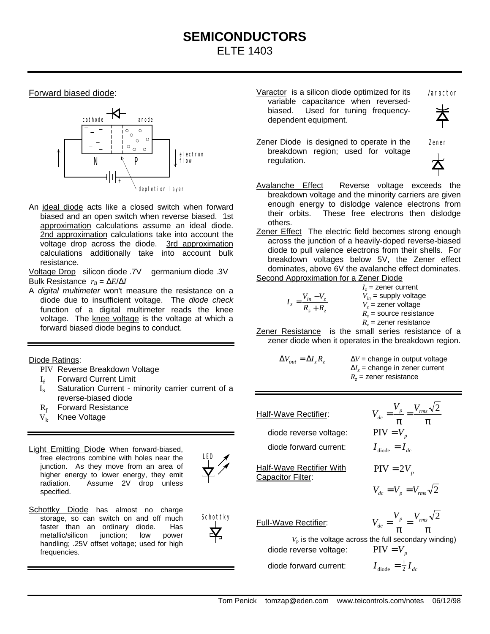## **SEMICONDUCTORS** ELTE 1403

Forward biased diode:



An ideal diode acts like a closed switch when forward biased and an open switch when reverse biased. 1st approximation calculations assume an ideal diode. 2nd approximation calculations take into account the voltage drop across the diode. 3rd approximation calculations additionally take into account bulk resistance.

Voltage Drop silicon diode .7V germanium diode .3V Bulk Resistance  $r_B = \Delta E / \Delta I$ 

A *digital multimeter* won't measure the resistance on a diode due to insufficient voltage. The *diode check* function of a digital multimeter reads the knee voltage. The knee voltage is the voltage at which a forward biased diode begins to conduct.

Diode Ratings:

- PIV Reverse Breakdown Voltage
- I f Forward Current Limit
- I<sub>s</sub> Saturation Current minority carrier current of a reverse-biased diode
- R<sub>f</sub> Forward Resistance
- $V_k$  Knee Voltage
- Light Emitting Diode When forward-biased, free electrons combine with holes near the junction. As they move from an area of higher energy to lower energy, they emit radiation. Assume 2V drop unless specified.



Schottky

Schottky Diode has almost no charge storage, so can switch on and off much faster than an ordinary diode. Has<br>metallic/silicon iunction: low power metallic/silicon junction; low handling; .25V offset voltage; used for high frequencies.

Varactor is a silicon diode optimized for its variable capacitance when reversedbiased. Used for tuning frequencydependent equipment.

Varactor

Zener

- Zener Diode is designed to operate in the breakdown region; used for voltage regulation.
- Avalanche Effect Reverse voltage exceeds the breakdown voltage and the minority carriers are given enough energy to dislodge valence electrons from their orbits. These free electrons then dislodge others.
- Zener Effect The electric field becomes strong enough across the junction of a heavily-doped reverse-biased diode to pull valence electrons from their shells. For breakdown voltages below 5V, the Zener effect dominates, above 6V the avalanche effect dominates. Second Approximation for a Zener Diode

$$
I_z = \frac{V_{in} - V_z}{R_s + R_z}
$$
  
\n
$$
I_z = \frac{V_{in} - V_z}{R_s + R_z}
$$
  
\n
$$
V_{in} = \text{supply voltage}
$$
  
\n
$$
V_z = \text{zener voltage}
$$
  
\n
$$
R_s = \text{source resistance}
$$

 $R_z$  = zener resistance Zener Resistance is the small series resistance of a zener diode when it operates in the breakdown region.

$$
\Delta V_{out} = \Delta I_z R_z
$$
\n
$$
\Delta V = \text{change in output voltage}
$$
\n
$$
\Delta I_z = \text{change in zener current}
$$
\n
$$
R_z = \text{zener resistance}
$$

Half-Wave Rectifier:

diode reverse voltage: diode forward current: *I I*

Half-Wave Rectifier With Capacitor Filter:

$$
V_{dc} = \frac{V_p}{\pi} = \frac{V_{rms} \sqrt{2}}{\pi}
$$
  
PIV = V<sub>p</sub>  

$$
I_{\text{diode}} = I_{dc}
$$

*V V*

 $V \sqrt{2}$ 

 $PIV = 2V_p$ 

$$
V_{dc} = V_p = V_{rms} \sqrt{2}
$$

Full-Wave Rectifier:

 $V_p$  is the voltage across the full secondary winding) diode reverse voltage:  $PIV = V_p$ 

diode forward current: *I I*

π = π  $V_{dc} = \frac{V_p}{I} = \frac{V_{rms} \sqrt{2}}{I}$  $V_{dc} = \frac{V_p}{V} = \frac{V}{V}$ 

 $\frac{1}{\text{diode}} = \frac{1}{2} I_{dc}$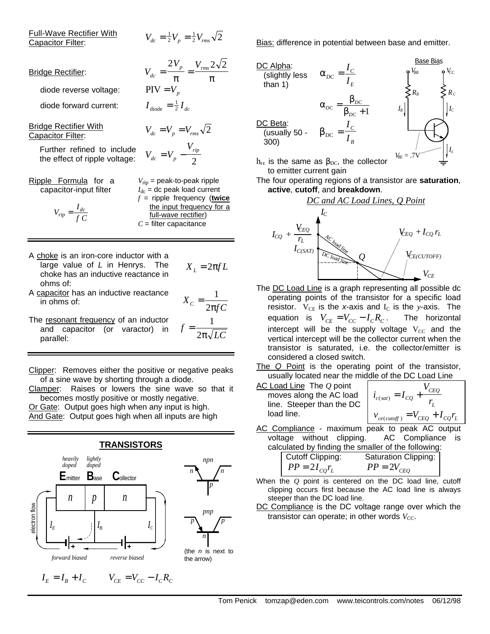| Full-Wave Rectifier With |  |  |  |
|--------------------------|--|--|--|
| Capacitor Filter:        |  |  |  |

$$
V_{dc} = \frac{1}{2} V_p = \frac{1}{2} V_{rms} \sqrt{2}
$$

| <b>Bridge Rectifier:</b>                                                         | $V_{dc} = \frac{2V_p}{\pi} = \frac{V_{rms} 2\sqrt{}}{\pi}$                                                                                                                                         |
|----------------------------------------------------------------------------------|----------------------------------------------------------------------------------------------------------------------------------------------------------------------------------------------------|
| diode reverse voltage:                                                           | $PIV = V_n$                                                                                                                                                                                        |
| diode forward current:                                                           | $I_{\rm diode} = \frac{1}{2} I_{\rm dc}$                                                                                                                                                           |
| <b>Bridge Rectifier With</b><br>Capacitor Filter:                                | $V_{dc} = V_{n} = V_{rms} \sqrt{2}$                                                                                                                                                                |
| Further refined to include<br>the effect of ripple voltage:                      | $V_{dc} = V_p - \frac{V_{rip}}{2}$                                                                                                                                                                 |
| Ripple Formula for a<br>capacitor-input filter<br>$V_{rip} = \frac{I_{dc}}{f C}$ | $V_{\text{rip}}$ = peak-to-peak ripple<br>$I_{\text{dc}}$ = dc peak load current<br>$f =$ ripple frequency (twice<br>the input frequency for a<br>full-wave rectifier)<br>$C =$ filter capacitance |
|                                                                                  |                                                                                                                                                                                                    |

- A choke is an iron-core inductor with a large value of *L* in Henrys. The choke has an inductive reactance in ohms of:  $X<sub>L</sub> = 2πfL$
- A capacitor has an inductive reactance  $X_c = \frac{1}{2\pi fC}$ 
	- = 2 1
- The resonant frequency of an inductor and capacitor (or varactor) in  $\alpha$  and  $\alpha$  dependent (or variable),  $\sin \theta$   $2\pi\sqrt{LC}$ *f* π = 2 1

Clipper: Removes either the positive or negative peaks of a sine wave by shorting through a diode.

Clamper: Raises or lowers the sine wave so that it becomes mostly positive or mostly negative.

Or Gate: Output goes high when any input is high. And Gate: Output goes high when all inputs are high



Bias: difference in potential between base and emitter.



- $h_{FE}$  is the same as  $β_{DC}$ , the collector to emitter current gain
- The four operating regions of a transistor are **saturation**, **active**, **cutoff**, and **breakdown**.



- The DC Load Line is a graph representing all possible dc operating points of the transistor for a specific load resistor.  $V_{CE}$  is the *x*-axis and  $I_C$  is the *y*-axis. The equation is  $V_{CE} = V_{CC} - I_C R_C$ . The horizontal intercept will be the supply voltage  $V_{CC}$  and the vertical intercept will be the collector current when the transistor is saturated, i.e. the collector/emitter is considered a closed switch.
- The *Q* Point is the operating point of the transistor, usually located near the middle of the DC Load Line

| AC Load Line The Q point  |  |  |
|---------------------------|--|--|
| moves along the AC load   |  |  |
| line. Steeper than the DC |  |  |
| load line.                |  |  |

$$
i_{c(sat)} = I_{CQ} + \frac{V_{CEQ}}{r_L}
$$

$$
v_{ce(cutoff)} = V_{CEQ} + I_{CQ}r_L
$$

AC Compliance - maximum peak to peak AC output voltage without clipping. AC Compliance is calculated by finding the smaller of the following:

| Cutoff Clipping:  | <b>Saturation Clipping:</b> |
|-------------------|-----------------------------|
| $PP = 2I_{co}r_L$ | $PP = 2V_{CEO}$             |

- When the *Q* point is centered on the DC load line, cutoff clipping occurs first because the AC load line is always steeper than the DC load line.
- DC Compliance is the DC voltage range over which the transistor can operate; in other words  $V_{CC}$ .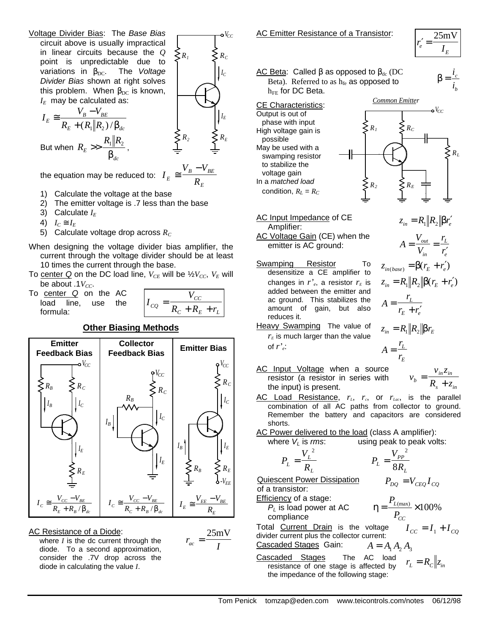Voltage Divider Bias: The *Base Bias* circuit above is usually impractical in linear circuits because the *Q* point is unpredictable due to variations in β<sub>DC</sub>. The *Voltage Divider Bias* shown at right solves this problem. When  $β_{DC}$  is known, *IE* may be calculated as:

$$
I_E \cong \frac{V_B - V_{BE}}{R_E + (R_1 \| R_2) / \beta_{dc}}
$$
  
But when  $R_E >> \frac{R_1 \| R_2}{\beta_{dc}}$ ,

 $R_2 \leq R_E$ *IE*  $\sum R_i \leq R_c$ *IC*

*V CC*

*E*

the equation may be reduced to: *I*  $V_B - V$  $E = R$  $B$   $V_{BE}$ ≅ −

- 1) Calculate the voltage at the base
- 2) The emitter voltage is .7 less than the base
- 3) Calculate *I<sup>E</sup>*
- 4)  $I_C \cong I_E$
- 5) Calculate voltage drop across  $R_C$
- When designing the voltage divider bias amplifier, the current through the voltage divider should be at least 10 times the current through the base.
- To center Q on the DC load line,  $V_{CE}$  will be  $\frac{1}{2}V_{CC}$ ,  $V_E$  will be about .1*V<sub>CC</sub>*.
- To center *Q* on the AC load line, use the formula:

*I V*  $cQ = R_c + R_E + r$ *CC*  $C^{-1}$   $\mathbf{R}_E^{-1}$   $L$ =  $+$   $R_{E}$  +



## AC Resistance of a Diode:

where *I* is the dc current through the diode. To a second approximation, consider the .7V drop across the diode in calculating the value *I*.

$$
r_{ac} = \frac{25 \text{mV}}{I}
$$

$$
r'_e = \frac{25 \text{mV}}{I_E}
$$

*c i*  $β = \frac{i}{i}$ 

## AC Beta: Called  $\beta$  as opposed to  $\beta_{dc}$  (DC Beta). Referred to as  $h_{fe}$  as opposed to  $h_{FE}$  for DC Beta.

CE Characteristics: Output is out of phase with input High voltage gain is possible May be used with a swamping resistor to stabilize the voltage gain In a *matched load* condition,  $R_L = R_C$ 



AC Input Impedance of CE Amplifier: *in <sup>e</sup>* AC Voltage Gain (CE) when the emitter is AC ground:

- Swamping Resistor To desensitize a CE amplifier to changes in  $r^{\prime}$ <sub>e</sub>, a resistor  $r_E$  is added between the emitter and ac ground. This stabilizes the amount of gain, but also reduces it.
- Heavy Swamping The value of  $r_F$  is much larger than the value of  $r'$ <sub>e</sub>:
- AC Input Voltage when a source resistor (a resistor in series with the input) is present.

$$
z_{in} = R_1 \| R_2 \| \beta r_E
$$
  
\n
$$
A = \frac{r_L}{r_E}
$$
  
\n
$$
v_b = \frac{v_{in} z_{in}}{R}
$$

 $b - R_s + z$ 

*s in*

+

 $z_{in} = R_1 \| R_2 \| \beta r_e^{\prime}$ 

*out in*

 $=\frac{v_{out}}{v}$  =

*r r*

*L e*

′

*V V*

 $z_{in(base)} = \beta(r_E + r_e')$ 

 $+r'_{e}$ 

*r*  $r_E + r$ *L*  $E \perp e$ 

*A*

*A* =

=

 $z_{in} = R_1 \| R_2 \| \beta(r_E + r'_e)$ 

- AC Load Resistance, *rL*, *rc*, or *rLac*, is the parallel combination of all AC paths from collector to ground. Remember the battery and capacitors are considered shorts.
- AC Power delivered to the load (class A amplifier):

where 
$$
V_L
$$
 is rms: using peak to peak volts:

$$
P_L = \frac{V_L^2}{R_L} \qquad P_L
$$

*R PP L* = 8

2

*V*

 $P_{DO} = V_{CEO} I_{CO}$ 

of a transistor:

Efficiency of a stage: *PL* is load power at AC compliance

Quiescent Power Dissipation

$$
\eta = \frac{P_{L(\text{max})}}{P_{CC}} \times 100\%
$$

Total Current Drain is the voltage divider current plus the collector current:  $I_{CC} = I_1 + I_{CO}$ Cascaded Stages Gain:  $A = A_1 A_2 A_3$ 

Cascaded Stages The AC load resistance of one stage is affected by the impedance of the following stage:  $r_{L} = R_{C} \| z_{in}$ 

Tom Penick tomzap@eden.com www.teicontrols.com/notes 06/12/98